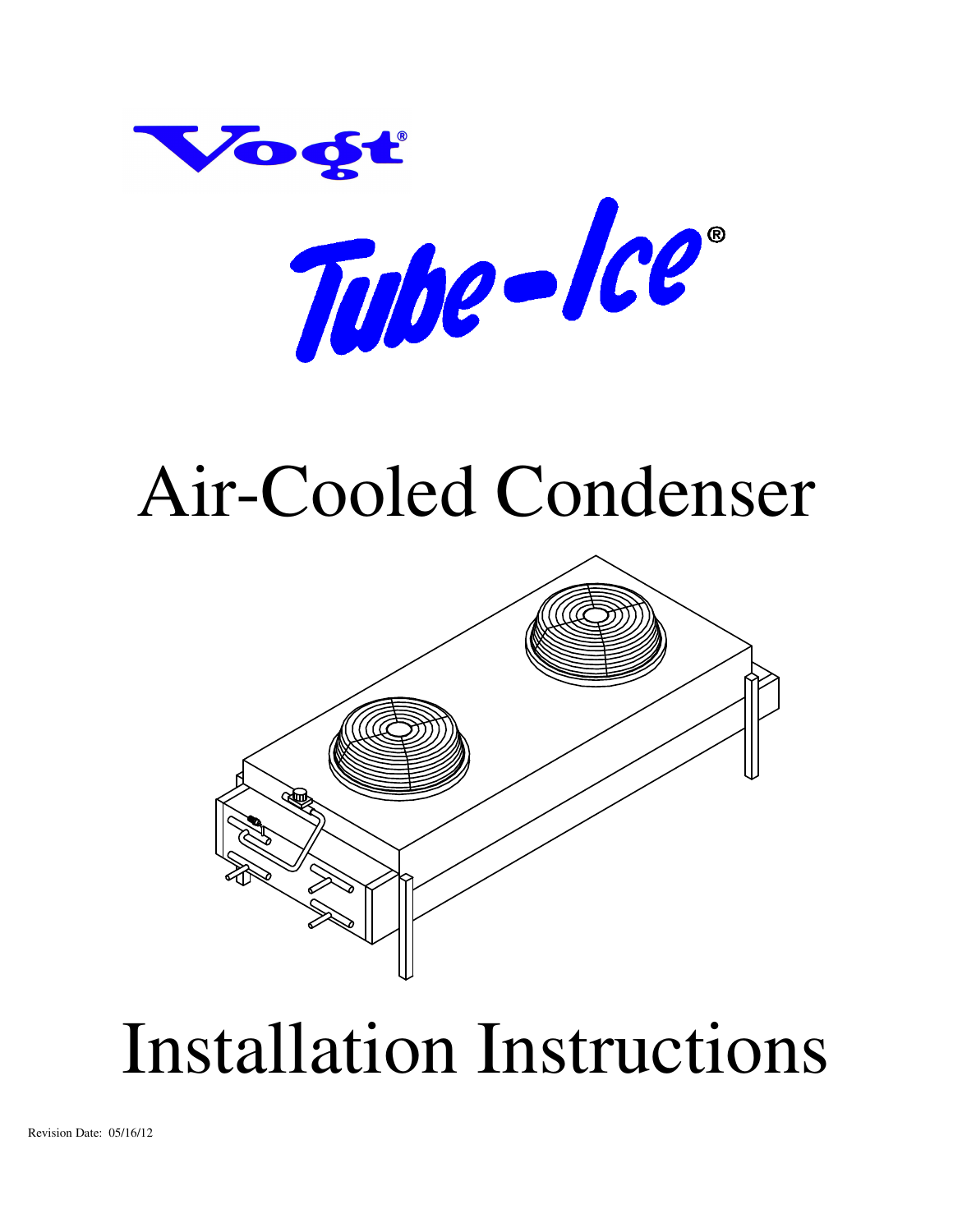

# Air-Cooled Condenser



# Installation Instructions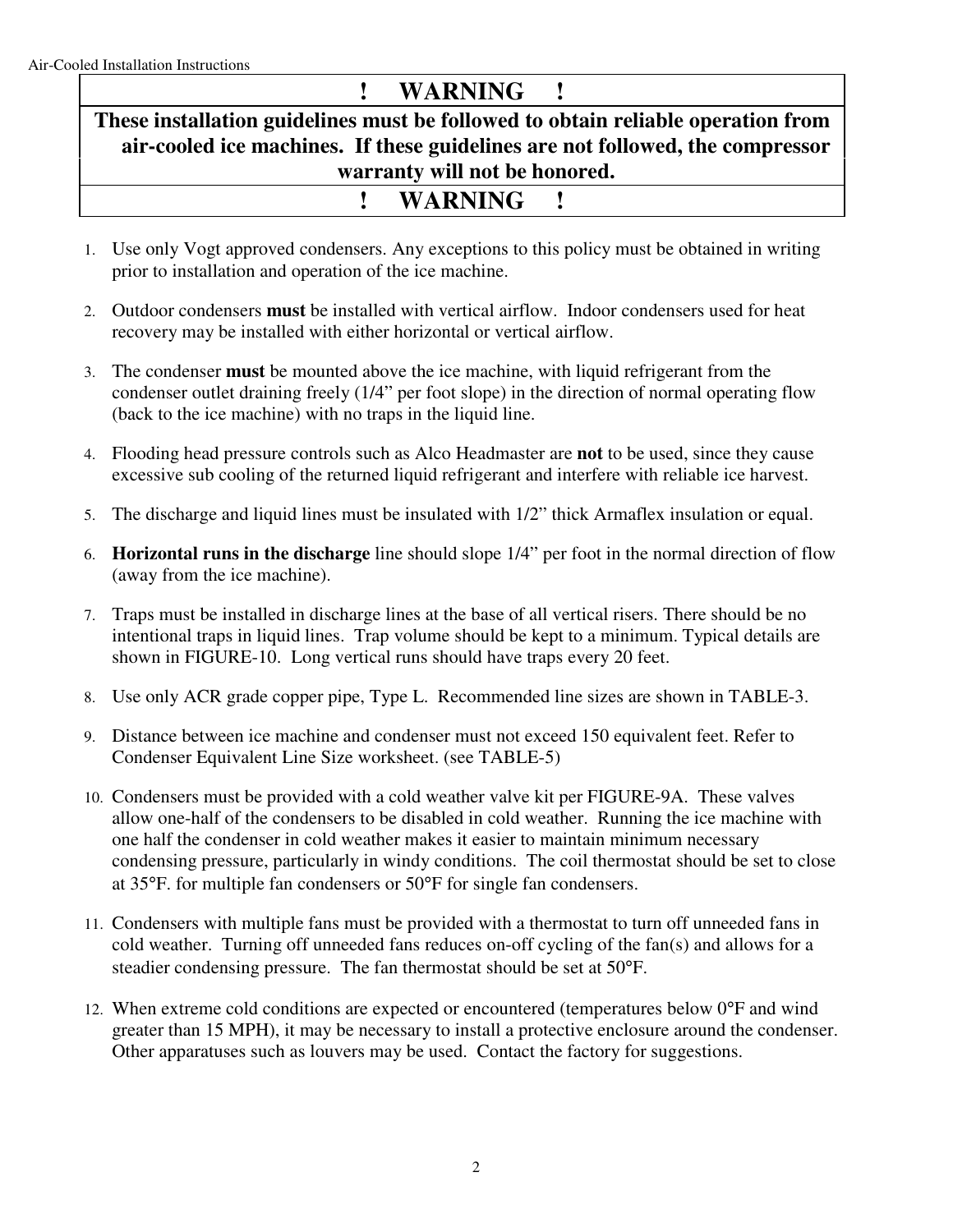# **! WARNING !**

**These installation guidelines must be followed to obtain reliable operation from air-cooled ice machines. If these guidelines are not followed, the compressor warranty will not be honored. ! WARNING !** 

- 1. Use only Vogt approved condensers. Any exceptions to this policy must be obtained in writing prior to installation and operation of the ice machine.
- 2. Outdoor condensers **must** be installed with vertical airflow. Indoor condensers used for heat recovery may be installed with either horizontal or vertical airflow.
- 3. The condenser **must** be mounted above the ice machine, with liquid refrigerant from the condenser outlet draining freely (1/4" per foot slope) in the direction of normal operating flow (back to the ice machine) with no traps in the liquid line.
- 4. Flooding head pressure controls such as Alco Headmaster are **not** to be used, since they cause excessive sub cooling of the returned liquid refrigerant and interfere with reliable ice harvest.
- 5. The discharge and liquid lines must be insulated with 1/2" thick Armaflex insulation or equal.
- 6. **Horizontal runs in the discharge** line should slope 1/4" per foot in the normal direction of flow (away from the ice machine).
- 7. Traps must be installed in discharge lines at the base of all vertical risers. There should be no intentional traps in liquid lines. Trap volume should be kept to a minimum. Typical details are shown in FIGURE-10. Long vertical runs should have traps every 20 feet.
- 8. Use only ACR grade copper pipe, Type L. Recommended line sizes are shown in TABLE-3.
- 9. Distance between ice machine and condenser must not exceed 150 equivalent feet. Refer to Condenser Equivalent Line Size worksheet. (see TABLE-5)
- 10. Condensers must be provided with a cold weather valve kit per FIGURE-9A. These valves allow one-half of the condensers to be disabled in cold weather. Running the ice machine with one half the condenser in cold weather makes it easier to maintain minimum necessary condensing pressure, particularly in windy conditions. The coil thermostat should be set to close at 35°F. for multiple fan condensers or 50°F for single fan condensers.
- 11. Condensers with multiple fans must be provided with a thermostat to turn off unneeded fans in cold weather. Turning off unneeded fans reduces on-off cycling of the fan(s) and allows for a steadier condensing pressure. The fan thermostat should be set at 50°F.
- 12. When extreme cold conditions are expected or encountered (temperatures below 0°F and wind greater than 15 MPH), it may be necessary to install a protective enclosure around the condenser. Other apparatuses such as louvers may be used. Contact the factory for suggestions.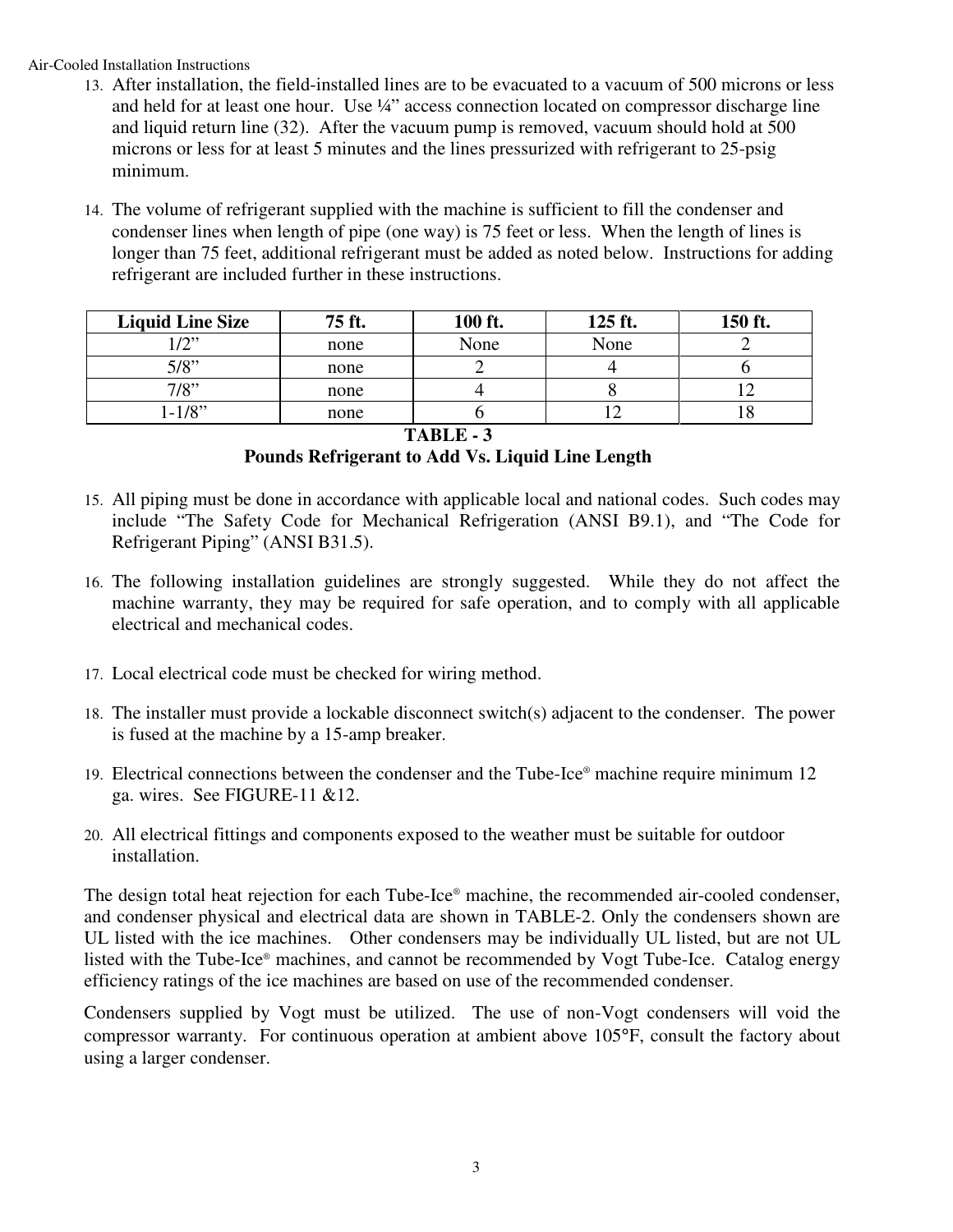Air-Cooled Installation Instructions

- 13. After installation, the field-installed lines are to be evacuated to a vacuum of 500 microns or less and held for at least one hour. Use 1/4" access connection located on compressor discharge line and liquid return line (32). After the vacuum pump is removed, vacuum should hold at 500 microns or less for at least 5 minutes and the lines pressurized with refrigerant to 25-psig minimum.
- 14. The volume of refrigerant supplied with the machine is sufficient to fill the condenser and condenser lines when length of pipe (one way) is 75 feet or less. When the length of lines is longer than 75 feet, additional refrigerant must be added as noted below. Instructions for adding refrigerant are included further in these instructions.

| <b>Liquid Line Size</b> | 75 ft. | 100 ft. | 125 ft. | 150 ft. |
|-------------------------|--------|---------|---------|---------|
| 12"                     | none   | None    | None    |         |
| 5/8"                    | none   |         |         |         |
| 7/8"                    | none   |         |         |         |
| $1 - 1/8$ "             | none   |         |         | 10      |

**TABLE - 3** 

**Pounds Refrigerant to Add Vs. Liquid Line Length** 

- 15. All piping must be done in accordance with applicable local and national codes. Such codes may include "The Safety Code for Mechanical Refrigeration (ANSI B9.1), and "The Code for Refrigerant Piping" (ANSI B31.5).
- 16. The following installation guidelines are strongly suggested. While they do not affect the machine warranty, they may be required for safe operation, and to comply with all applicable electrical and mechanical codes.
- 17. Local electrical code must be checked for wiring method.
- 18. The installer must provide a lockable disconnect switch(s) adjacent to the condenser. The power is fused at the machine by a 15-amp breaker.
- 19. Electrical connections between the condenser and the Tube-Ice® machine require minimum 12 ga. wires. See FIGURE-11 &12.
- 20. All electrical fittings and components exposed to the weather must be suitable for outdoor installation.

The design total heat rejection for each Tube-Ice® machine, the recommended air-cooled condenser, and condenser physical and electrical data are shown in TABLE-2. Only the condensers shown are UL listed with the ice machines. Other condensers may be individually UL listed, but are not UL listed with the Tube-Ice® machines, and cannot be recommended by Vogt Tube-Ice. Catalog energy efficiency ratings of the ice machines are based on use of the recommended condenser.

Condensers supplied by Vogt must be utilized. The use of non-Vogt condensers will void the compressor warranty. For continuous operation at ambient above 105°F, consult the factory about using a larger condenser.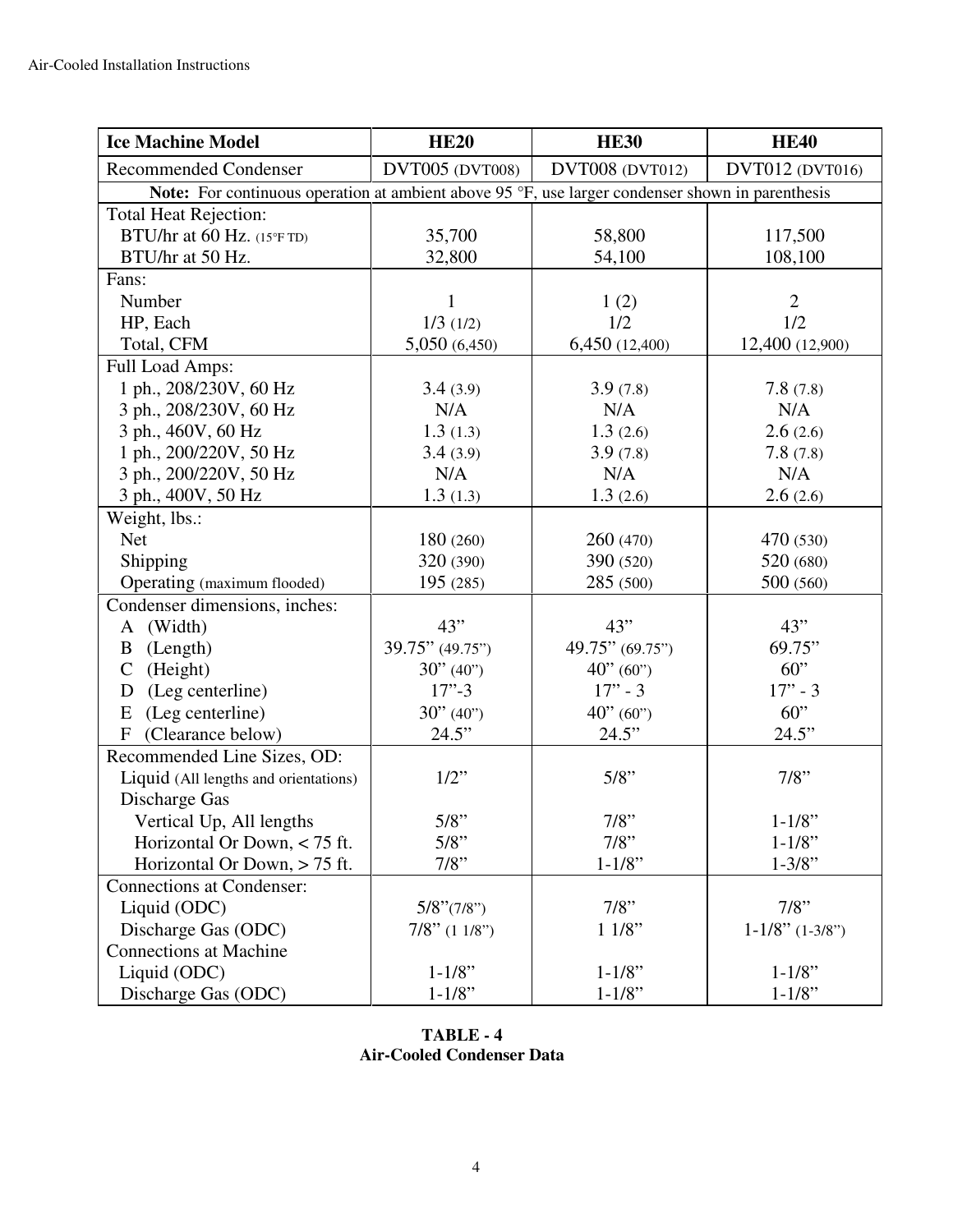| <b>Ice Machine Model</b>              | <b>HE20</b>                                                                                      | <b>HE30</b>            | <b>HE40</b>            |  |  |  |
|---------------------------------------|--------------------------------------------------------------------------------------------------|------------------------|------------------------|--|--|--|
| <b>Recommended Condenser</b>          | DVT005 (DVT008)                                                                                  | <b>DVT008 (DVT012)</b> | <b>DVT012 (DVT016)</b> |  |  |  |
|                                       | Note: For continuous operation at ambient above 95 °F, use larger condenser shown in parenthesis |                        |                        |  |  |  |
| <b>Total Heat Rejection:</b>          |                                                                                                  |                        |                        |  |  |  |
| BTU/hr at 60 Hz. (15°FTD)             | 35,700                                                                                           | 58,800                 | 117,500                |  |  |  |
| BTU/hr at 50 Hz.                      | 32,800                                                                                           | 54,100                 | 108,100                |  |  |  |
| Fans:                                 |                                                                                                  |                        |                        |  |  |  |
| Number                                | 1                                                                                                | 1(2)                   | $\overline{2}$         |  |  |  |
| HP, Each                              | 1/3(1/2)                                                                                         | 1/2                    | 1/2                    |  |  |  |
| Total, CFM                            | 5,050 (6,450)                                                                                    | 6,450 (12,400)         | 12,400 (12,900)        |  |  |  |
| Full Load Amps:                       |                                                                                                  |                        |                        |  |  |  |
| 1 ph., 208/230V, 60 Hz                | 3.4(3.9)                                                                                         | 3.9(7.8)               | 7.8(7.8)               |  |  |  |
| 3 ph., 208/230V, 60 Hz                | N/A                                                                                              | N/A                    | N/A                    |  |  |  |
| 3 ph., 460V, 60 Hz                    | 1.3(1.3)                                                                                         | 1.3(2.6)               | 2.6(2.6)               |  |  |  |
| 1 ph., 200/220V, 50 Hz                | 3.4(3.9)                                                                                         | 3.9(7.8)               | 7.8(7.8)               |  |  |  |
| 3 ph., 200/220V, 50 Hz                | N/A                                                                                              | N/A                    | N/A                    |  |  |  |
| 3 ph., 400V, 50 Hz                    | 1.3(1.3)                                                                                         | 1.3(2.6)               | 2.6(2.6)               |  |  |  |
| Weight, lbs.:                         |                                                                                                  |                        |                        |  |  |  |
| <b>Net</b>                            | 180 (260)                                                                                        | 260 (470)              | 470 (530)              |  |  |  |
| Shipping                              | 320 (390)                                                                                        | 390 (520)              | 520 (680)              |  |  |  |
| Operating (maximum flooded)           | 195 (285)                                                                                        | 285 (500)              | 500 (560)              |  |  |  |
| Condenser dimensions, inches:         |                                                                                                  |                        |                        |  |  |  |
| A (Width)                             | 43"                                                                                              | 43"                    | 43"                    |  |  |  |
| (Length)<br>B                         | 39.75" (49.75")                                                                                  | 49.75" (69.75")        | 69.75"                 |  |  |  |
| (Height)<br>$\mathsf{C}$              | 30" (40")                                                                                        | 40" (60")              | 60"                    |  |  |  |
| (Leg centerline)<br>D                 | $17 - 3$                                                                                         | $17" - 3$              | $17" - 3$              |  |  |  |
| (Leg centerline)<br>E                 | 30" (40")                                                                                        | 40" (60")              | 60"                    |  |  |  |
| (Clearance below)<br>$\mathbf{F}$     | 24.5"                                                                                            | 24.5"                  | 24.5"                  |  |  |  |
| Recommended Line Sizes, OD:           |                                                                                                  |                        |                        |  |  |  |
| Liquid (All lengths and orientations) | $1/2$ "                                                                                          | $5/8$ "                | $7/8$ "                |  |  |  |
| Discharge Gas                         |                                                                                                  |                        |                        |  |  |  |
| Vertical Up, All lengths              | $5/8$ "                                                                                          | $7/8"$                 | $1 - 1/8$ "            |  |  |  |
| Horizontal Or Down, < 75 ft.          | $5/8$ "                                                                                          | 7/8"                   | $1 - 1/8$ "            |  |  |  |
| Horizontal Or Down, > 75 ft.          | $7/8$ "                                                                                          | $1 - 1/8$ "            | $1 - 3/8$ "            |  |  |  |
| <b>Connections at Condenser:</b>      |                                                                                                  |                        |                        |  |  |  |
| Liquid (ODC)                          | $5/8$ " $(7/8)$ "                                                                                | $7/8$ "                | 7/8"                   |  |  |  |
| Discharge Gas (ODC)                   | $7/8$ " (1 1/8")                                                                                 | 11/8"                  | $1-1/8$ " $(1-3/8")$   |  |  |  |
| <b>Connections at Machine</b>         |                                                                                                  |                        |                        |  |  |  |
| Liquid (ODC)                          | $1 - 1/8$ "                                                                                      | $1 - 1/8$ "            | $1 - 1/8$ "            |  |  |  |
| Discharge Gas (ODC)                   | $1 - 1/8$ "                                                                                      | $1 - 1/8$ "            | $1 - 1/8$ "            |  |  |  |

**TABLE - 4 Air-Cooled Condenser Data**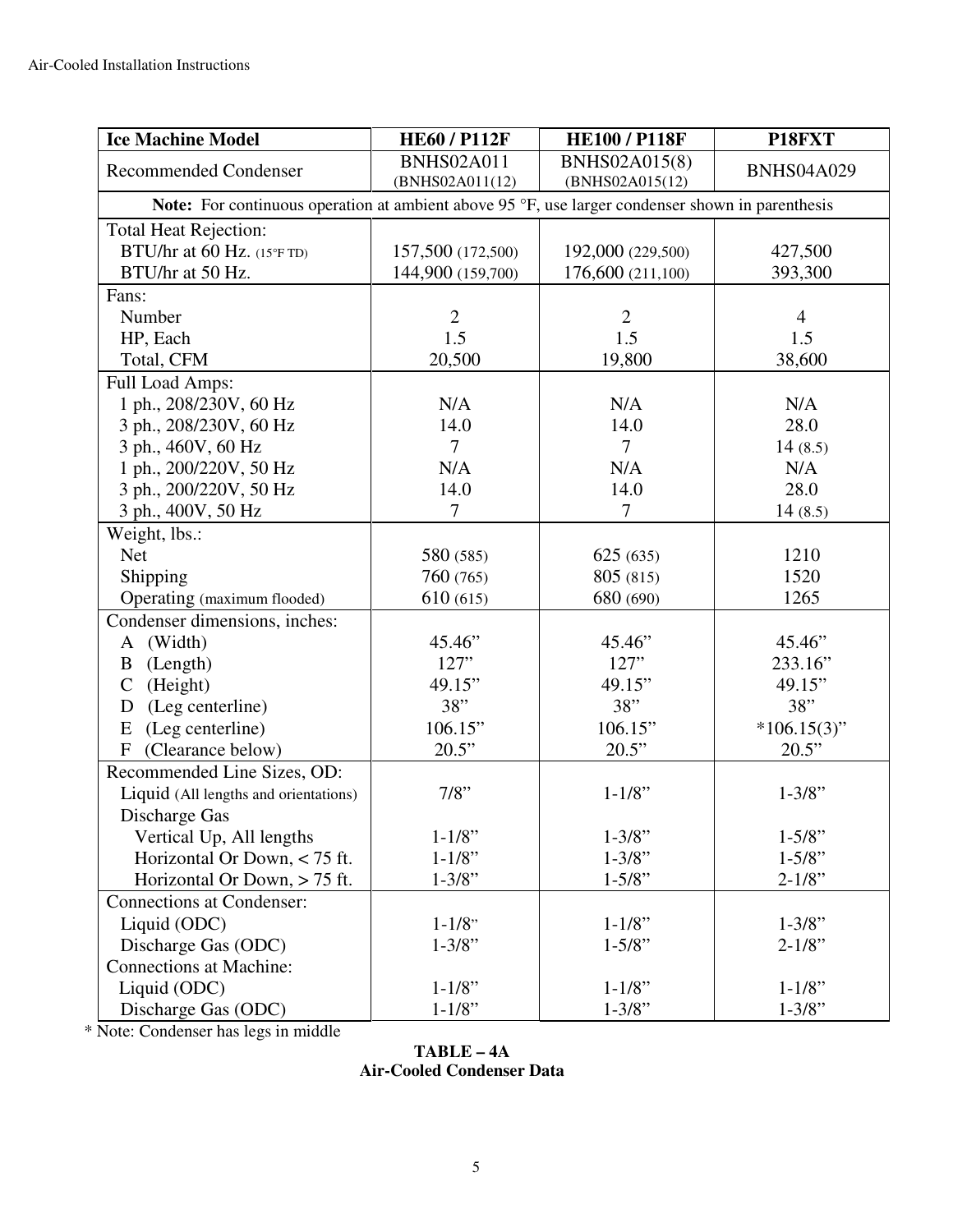| <b>Ice Machine Model</b>                                                                         | <b>HE60 / P112F</b>                  | <b>HE100 / P118F</b>                    | P18FXT            |  |  |  |
|--------------------------------------------------------------------------------------------------|--------------------------------------|-----------------------------------------|-------------------|--|--|--|
| <b>Recommended Condenser</b>                                                                     | <b>BNHS02A011</b><br>(BNHS02A011(12) | <b>BNHS02A015(8)</b><br>(BNHS02A015(12) | <b>BNHS04A029</b> |  |  |  |
| Note: For continuous operation at ambient above 95 °F, use larger condenser shown in parenthesis |                                      |                                         |                   |  |  |  |
| <b>Total Heat Rejection:</b>                                                                     |                                      |                                         |                   |  |  |  |
| BTU/hr at 60 Hz. (15°FTD)                                                                        | 157,500 (172,500)                    | 192,000 (229,500)                       | 427,500           |  |  |  |
| BTU/hr at 50 Hz.                                                                                 | 144,900 (159,700)                    | 176,600 (211,100)                       | 393,300           |  |  |  |
| Fans:                                                                                            |                                      |                                         |                   |  |  |  |
| Number                                                                                           | $\overline{2}$                       | $\overline{2}$                          | $\overline{4}$    |  |  |  |
| HP, Each                                                                                         | 1.5                                  | 1.5                                     | 1.5               |  |  |  |
| Total, CFM                                                                                       | 20,500                               | 19,800                                  | 38,600            |  |  |  |
| Full Load Amps:                                                                                  |                                      |                                         |                   |  |  |  |
| 1 ph., 208/230V, 60 Hz                                                                           | N/A                                  | N/A                                     | N/A               |  |  |  |
| 3 ph., 208/230V, 60 Hz                                                                           | 14.0                                 | 14.0                                    | 28.0              |  |  |  |
| 3 ph., 460V, 60 Hz                                                                               | $\overline{7}$                       | $\overline{7}$                          | 14(8.5)           |  |  |  |
| 1 ph., 200/220V, 50 Hz                                                                           | N/A                                  | N/A                                     | N/A               |  |  |  |
| 3 ph., 200/220V, 50 Hz                                                                           | 14.0                                 | 14.0                                    | 28.0              |  |  |  |
| 3 ph., 400V, 50 Hz                                                                               | $\overline{7}$                       | $\overline{7}$                          | 14(8.5)           |  |  |  |
| Weight, lbs.:                                                                                    |                                      |                                         |                   |  |  |  |
| <b>Net</b>                                                                                       | 580 (585)                            | 625(635)                                | 1210              |  |  |  |
| Shipping                                                                                         | 760 (765)                            | 805 (815)                               | 1520              |  |  |  |
| Operating (maximum flooded)                                                                      | 610(615)                             | 680 (690)                               | 1265              |  |  |  |
| Condenser dimensions, inches:                                                                    |                                      |                                         |                   |  |  |  |
| A (Width)                                                                                        | 45.46"                               | 45.46"                                  | 45.46"            |  |  |  |
| B (Length)                                                                                       | 127"                                 | 127"                                    | 233.16"           |  |  |  |
| (Height)<br>$\mathsf{C}$                                                                         | 49.15"                               | 49.15"                                  | 49.15"            |  |  |  |
| (Leg centerline)<br>D                                                                            | 38"                                  | 38"                                     | 38"               |  |  |  |
| (Leg centerline)<br>E                                                                            | 106.15"                              | 106.15"                                 | $*106.15(3)$ "    |  |  |  |
| F (Clearance below)                                                                              | 20.5"                                | 20.5"                                   | 20.5"             |  |  |  |
| Recommended Line Sizes, OD:                                                                      |                                      |                                         |                   |  |  |  |
| Liquid (All lengths and orientations)                                                            | $7/8$ "                              | $1 - 1/8$ "                             | $1 - 3/8$ "       |  |  |  |
| Discharge Gas                                                                                    |                                      |                                         |                   |  |  |  |
| Vertical Up, All lengths                                                                         | $1 - 1/8$ "                          | $1 - 3/8$ "                             | $1 - 5/8$ "       |  |  |  |
| Horizontal Or Down, < 75 ft.                                                                     | $1 - 1/8$ "                          | $1 - 3/8"$                              | $1 - 5/8$ "       |  |  |  |
| Horizontal Or Down, > 75 ft.                                                                     | $1 - 3/8"$                           | $1 - 5/8$ "                             | $2 - 1/8$ "       |  |  |  |
| <b>Connections at Condenser:</b>                                                                 |                                      |                                         |                   |  |  |  |
| Liquid (ODC)                                                                                     | $1 - 1/8$                            | $1 - 1/8$ "                             | $1 - 3/8$ "       |  |  |  |
| Discharge Gas (ODC)                                                                              | $1 - 3/8"$                           | $1 - 5/8$ "                             | $2 - 1/8$ "       |  |  |  |
| <b>Connections at Machine:</b>                                                                   |                                      |                                         |                   |  |  |  |
| Liquid (ODC)                                                                                     | $1 - 1/8$ "                          | $1 - 1/8$ "                             | $1 - 1/8$ "       |  |  |  |
| Discharge Gas (ODC)                                                                              | $1 - 1/8$ "                          | $1 - 3/8"$                              | $1 - 3/8$ "       |  |  |  |

\* Note: Condenser has legs in middle

**TABLE – 4A Air-Cooled Condenser Data**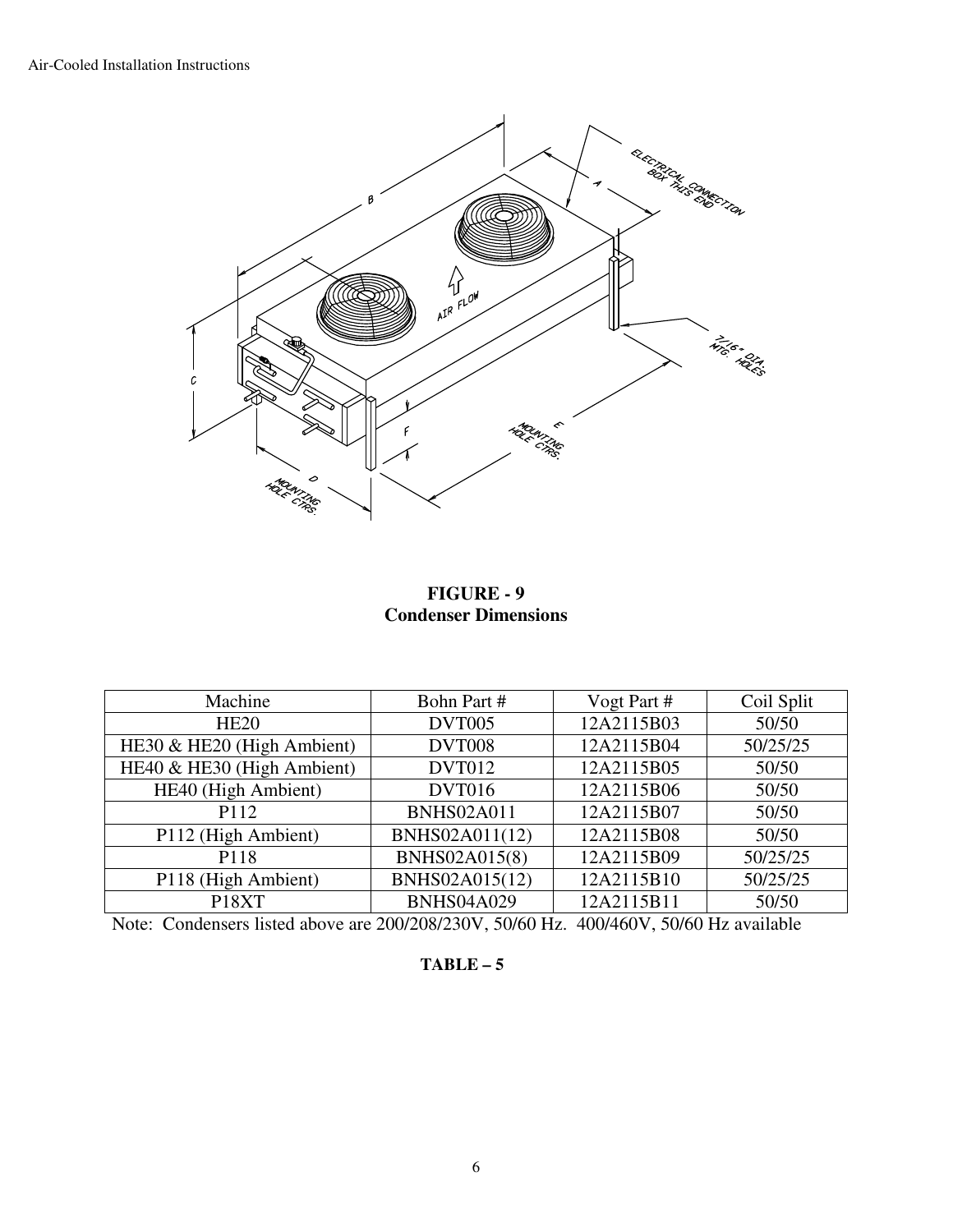

### **FIGURE - 9 Condenser Dimensions**

| Machine                    | Bohn Part #       | Vogt Part # | Coil Split |
|----------------------------|-------------------|-------------|------------|
| HE20                       | <b>DVT005</b>     | 12A2115B03  | 50/50      |
| HE30 & HE20 (High Ambient) | <b>DVT008</b>     | 12A2115B04  | 50/25/25   |
| HE40 & HE30 (High Ambient) | <b>DVT012</b>     | 12A2115B05  | 50/50      |
| HE40 (High Ambient)        | <b>DVT016</b>     | 12A2115B06  | 50/50      |
| P112                       | <b>BNHS02A011</b> | 12A2115B07  | 50/50      |
| P112 (High Ambient)        | BNHS02A011(12)    | 12A2115B08  | 50/50      |
| P118                       | BNHS02A015(8)     | 12A2115B09  | 50/25/25   |
| P118 (High Ambient)        | BNHS02A015(12)    | 12A2115B10  | 50/25/25   |
| P18XT                      | <b>BNHS04A029</b> | 12A2115B11  | 50/50      |

Note: Condensers listed above are 200/208/230V, 50/60 Hz. 400/460V, 50/60 Hz available

#### **TABLE – 5**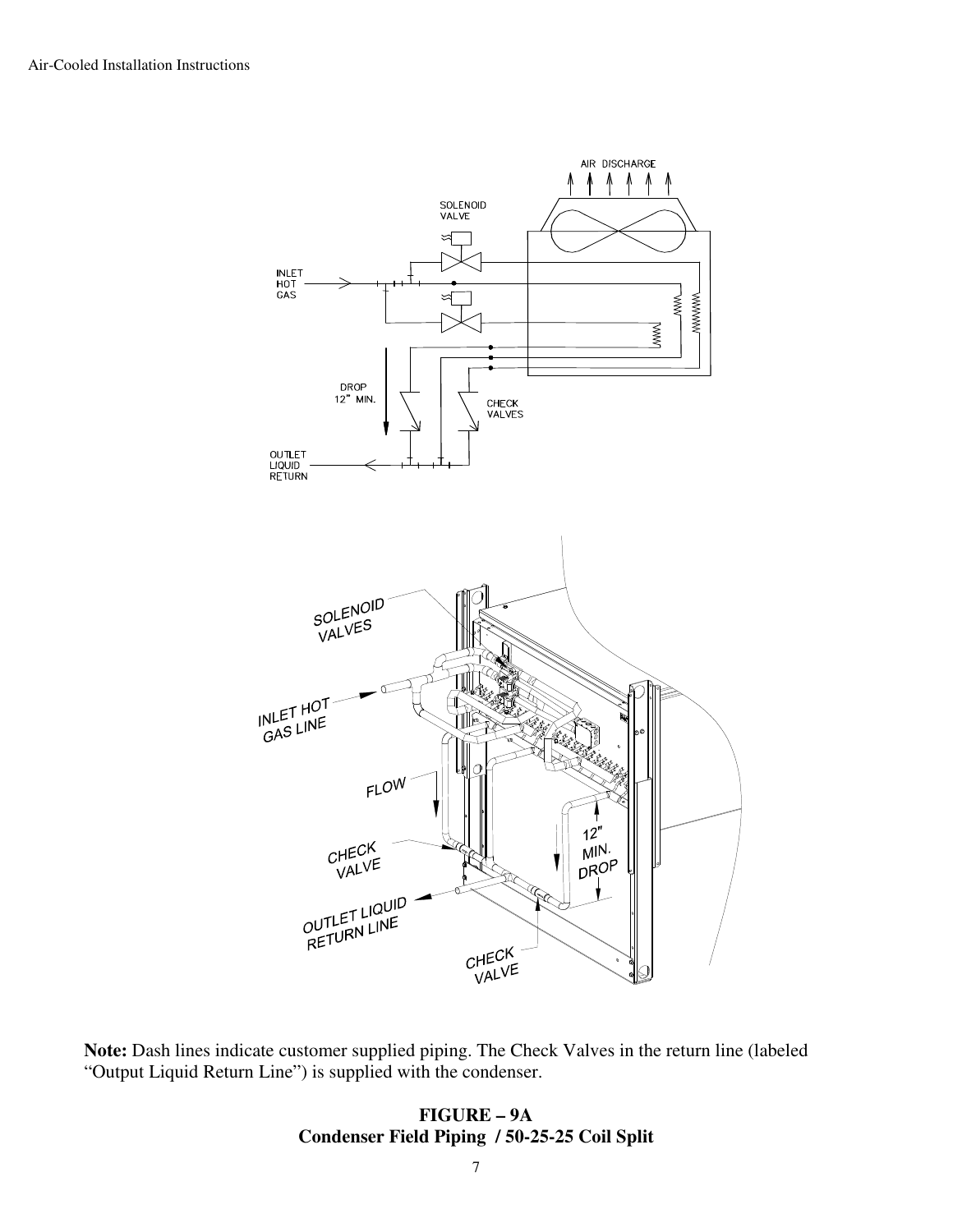

**Note:** Dash lines indicate customer supplied piping. The Check Valves in the return line (labeled "Output Liquid Return Line") is supplied with the condenser.

#### **FIGURE – 9A Condenser Field Piping / 50-25-25 Coil Split**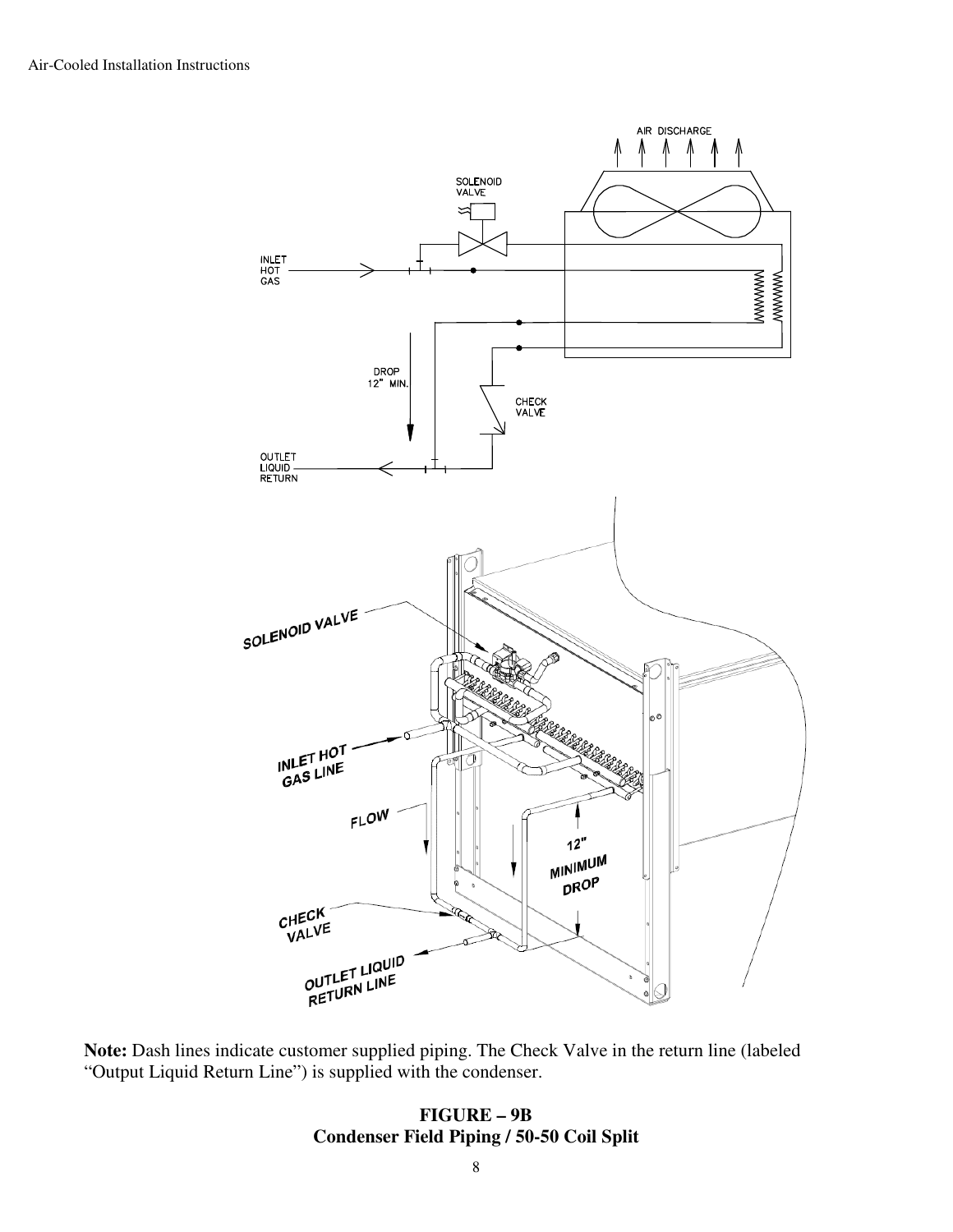

**Note:** Dash lines indicate customer supplied piping. The Check Valve in the return line (labeled "Output Liquid Return Line") is supplied with the condenser.

#### **FIGURE – 9B Condenser Field Piping / 50-50 Coil Split**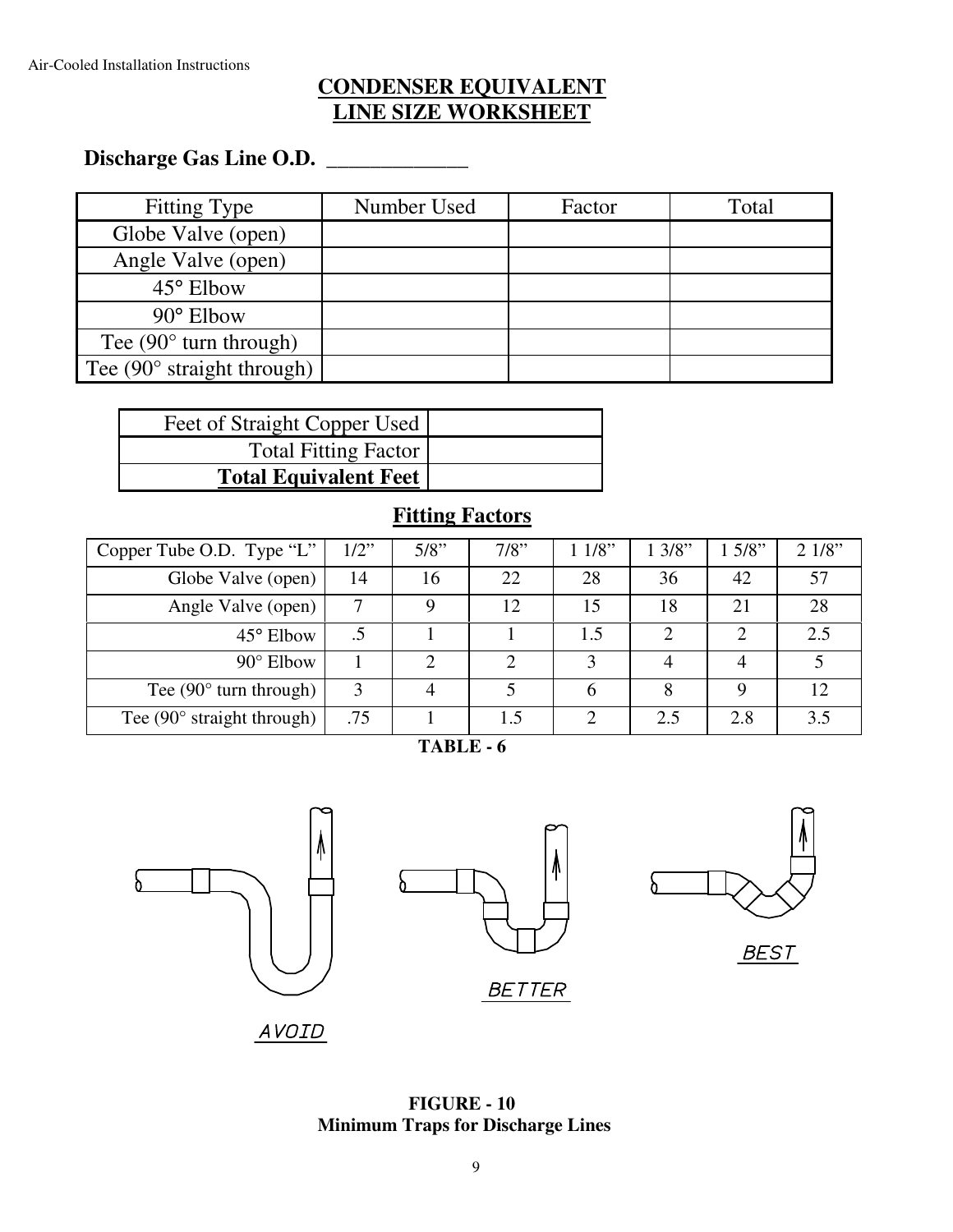## **CONDENSER EQUIVALENT LINE SIZE WORKSHEET**

# **Discharge Gas Line O.D. \_\_\_\_\_\_\_\_\_\_\_\_\_**

| Fitting Type                        | Number Used | Factor | Total |
|-------------------------------------|-------------|--------|-------|
| Globe Valve (open)                  |             |        |       |
| Angle Valve (open)                  |             |        |       |
| 45° Elbow                           |             |        |       |
| $90^\circ$ Elbow                    |             |        |       |
| Tee $(90^{\circ}$ turn through)     |             |        |       |
| Tee $(90^{\circ}$ straight through) |             |        |       |

| Feet of Straight Copper Used |  |
|------------------------------|--|
| <b>Total Fitting Factor</b>  |  |
| <b>Total Equivalent Feet</b> |  |

## **Fitting Factors**

| Copper Tube O.D. Type "L"           | $1/2$ " | 5/8" | 7/8" | 11/8" | 13/8" | $5/8$ " | 21/8" |
|-------------------------------------|---------|------|------|-------|-------|---------|-------|
| Globe Valve (open)                  | 14      | 16   | 22   | 28    | 36    | 42      | 57    |
| Angle Valve (open)                  |         |      | 12   | 15    | 18    | 21      | 28    |
| 45° Elbow                           |         |      |      | 1.5   |       |         | 2.5   |
| $90^\circ$ Elbow                    |         |      | ◠    | 3     | 4     |         |       |
| Tee $(90^{\circ}$ turn through)     | 3       |      |      | 6     | 8     | Q       | 12    |
| Tee $(90^{\circ}$ straight through) | .75     |      | 1.5  | ∍     | 2.5   | 2.8     | 3.5   |

**TABLE - 6** 



AVOID

**FIGURE - 10 Minimum Traps for Discharge Lines**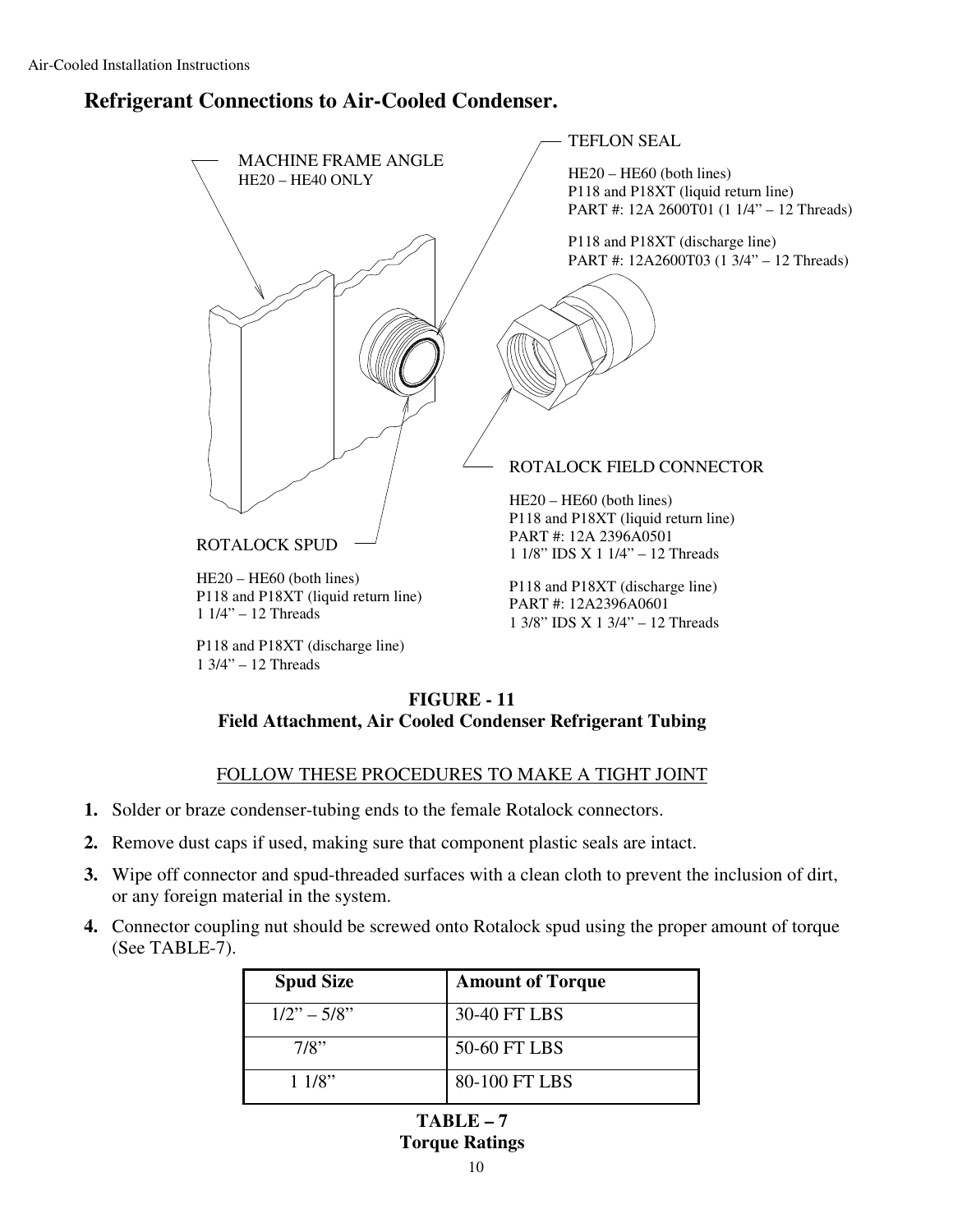## **Refrigerant Connections to Air-Cooled Condenser.**



#### **FIGURE - 11 Field Attachment, Air Cooled Condenser Refrigerant Tubing**

#### FOLLOW THESE PROCEDURES TO MAKE A TIGHT JOINT

- **1.** Solder or braze condenser-tubing ends to the female Rotalock connectors.
- **2.** Remove dust caps if used, making sure that component plastic seals are intact.
- **3.** Wipe off connector and spud-threaded surfaces with a clean cloth to prevent the inclusion of dirt, or any foreign material in the system.
- **4.** Connector coupling nut should be screwed onto Rotalock spud using the proper amount of torque (See TABLE-7).

| <b>Spud Size</b> | <b>Amount of Torque</b> |
|------------------|-------------------------|
| $1/2" - 5/8"$    | 30-40 FT LBS            |
| 7/8"             | 50-60 FT LBS            |
| 11/8"            | 80-100 FT LBS           |

**TABLE – 7 Torque Ratings**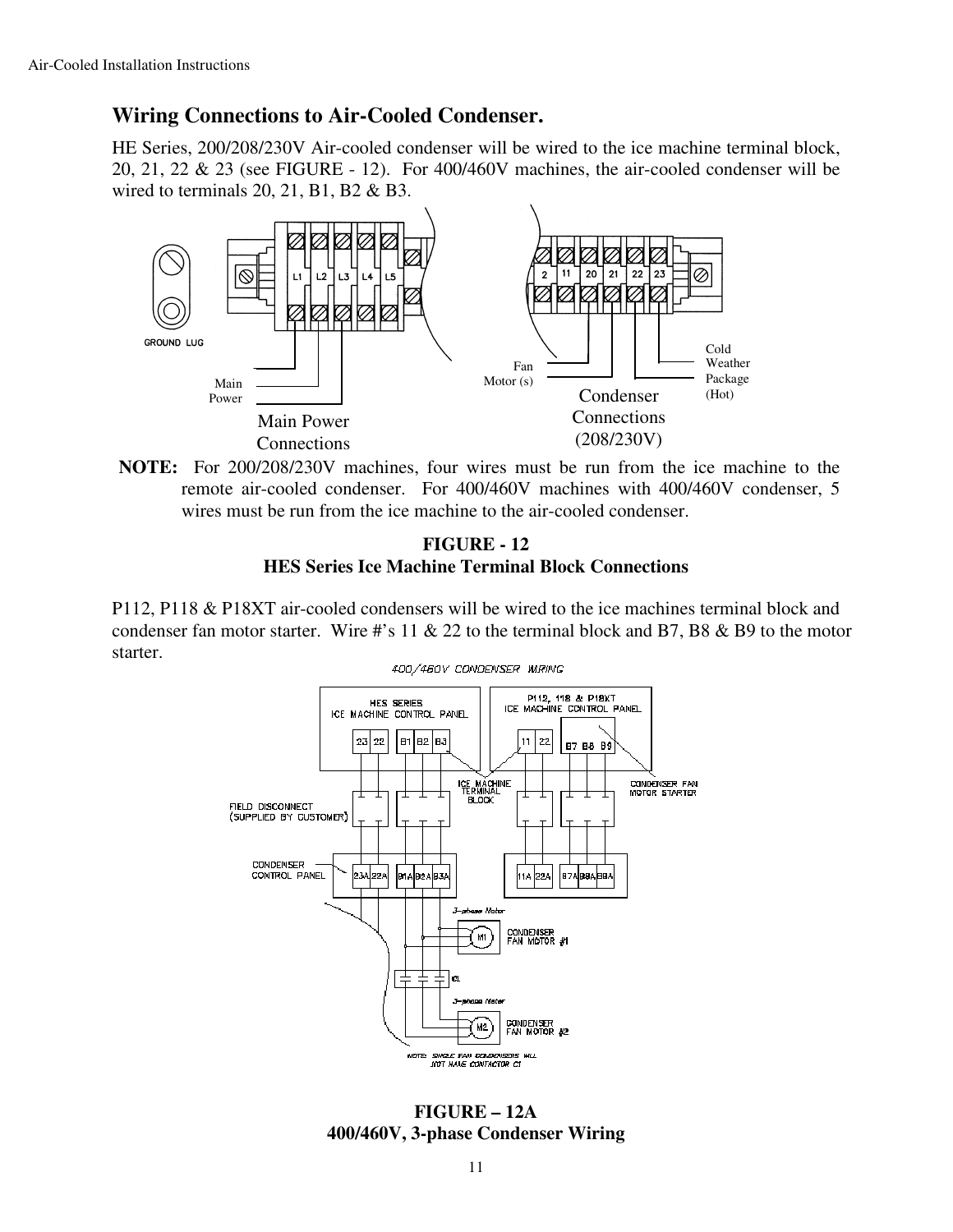## **Wiring Connections to Air-Cooled Condenser.**

HE Series, 200/208/230V Air-cooled condenser will be wired to the ice machine terminal block, 20, 21, 22 & 23 (see FIGURE - 12). For 400/460V machines, the air-cooled condenser will be wired to terminals 20, 21, B1, B2 & B3.



**NOTE:** For 200/208/230V machines, four wires must be run from the ice machine to the remote air-cooled condenser. For 400/460V machines with 400/460V condenser, 5 wires must be run from the ice machine to the air-cooled condenser.

#### **FIGURE - 12 HES Series Ice Machine Terminal Block Connections**

P112, P118 & P18XT air-cooled condensers will be wired to the ice machines terminal block and condenser fan motor starter. Wire #'s 11  $\&$  22 to the terminal block and B7, B8  $\&$  B9 to the motor starter.



**FIGURE – 12A 400/460V, 3-phase Condenser Wiring**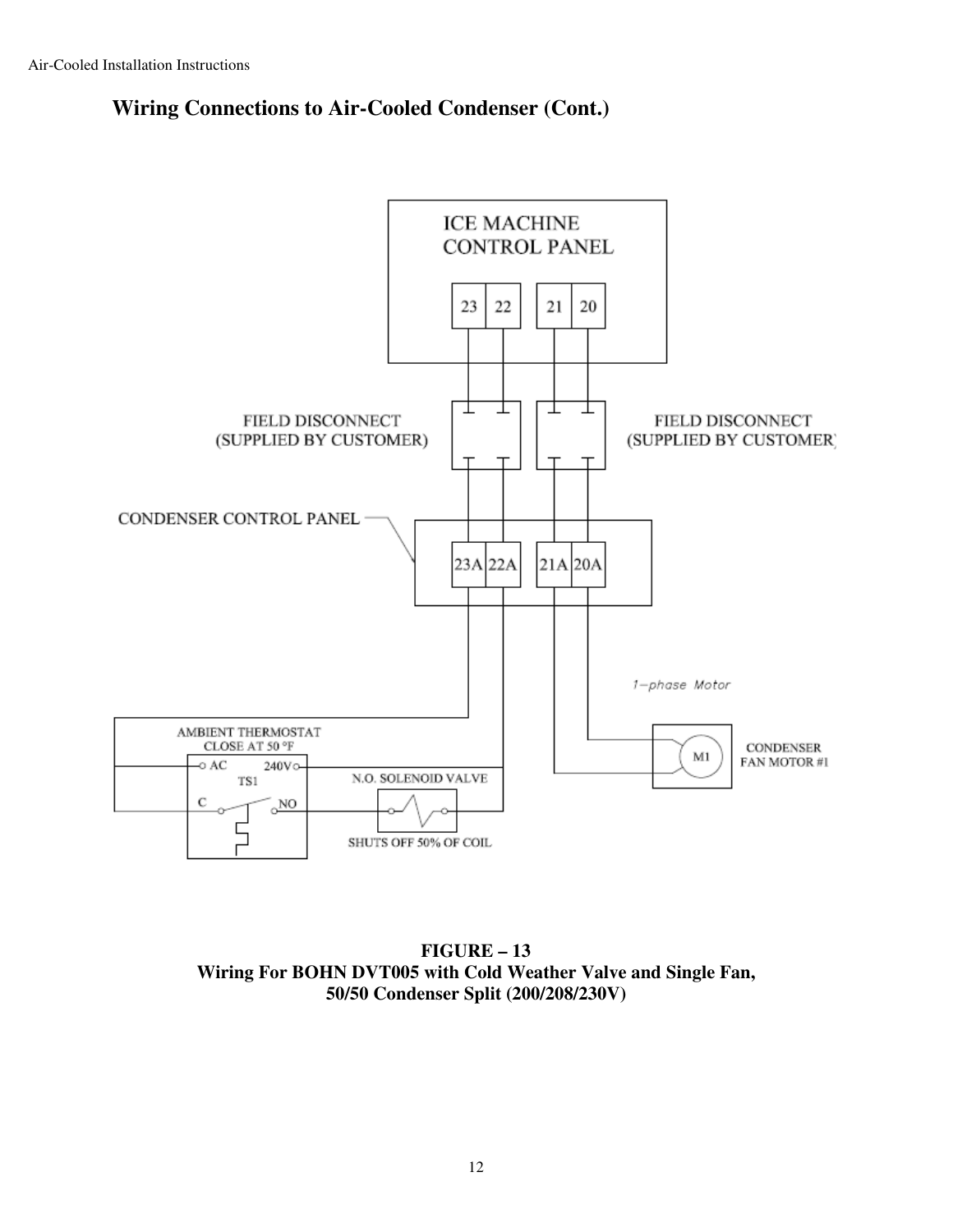## **Wiring Connections to Air-Cooled Condenser (Cont.)**

![](_page_11_Figure_2.jpeg)

**FIGURE – 13 Wiring For BOHN DVT005 with Cold Weather Valve and Single Fan, 50/50 Condenser Split (200/208/230V)**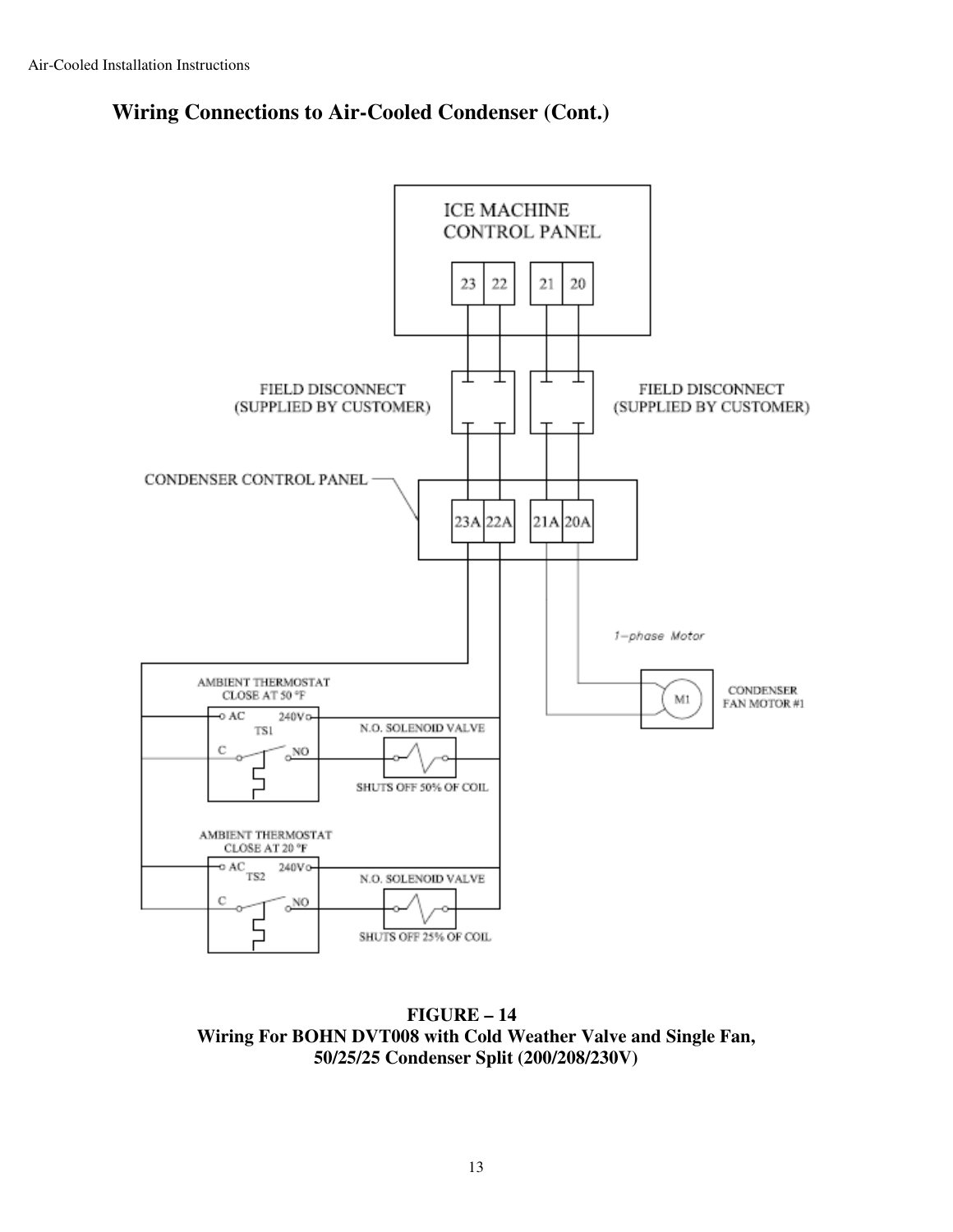## **Wiring Connections to Air-Cooled Condenser (Cont.)**

![](_page_12_Figure_2.jpeg)

**FIGURE – 14 Wiring For BOHN DVT008 with Cold Weather Valve and Single Fan, 50/25/25 Condenser Split (200/208/230V)**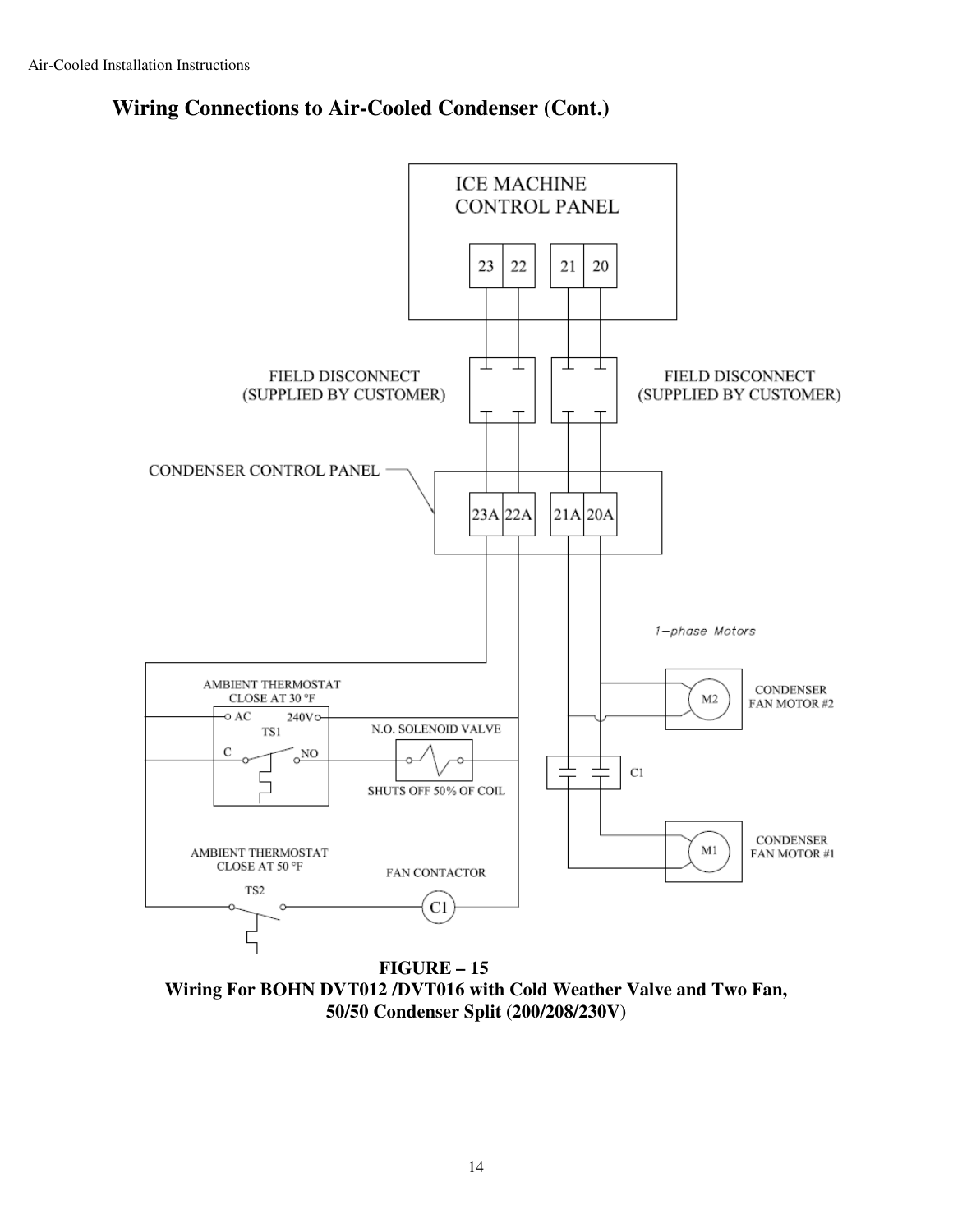![](_page_13_Figure_1.jpeg)

![](_page_13_Figure_2.jpeg)

**FIGURE – 15 Wiring For BOHN DVT012 /DVT016 with Cold Weather Valve and Two Fan, 50/50 Condenser Split (200/208/230V)**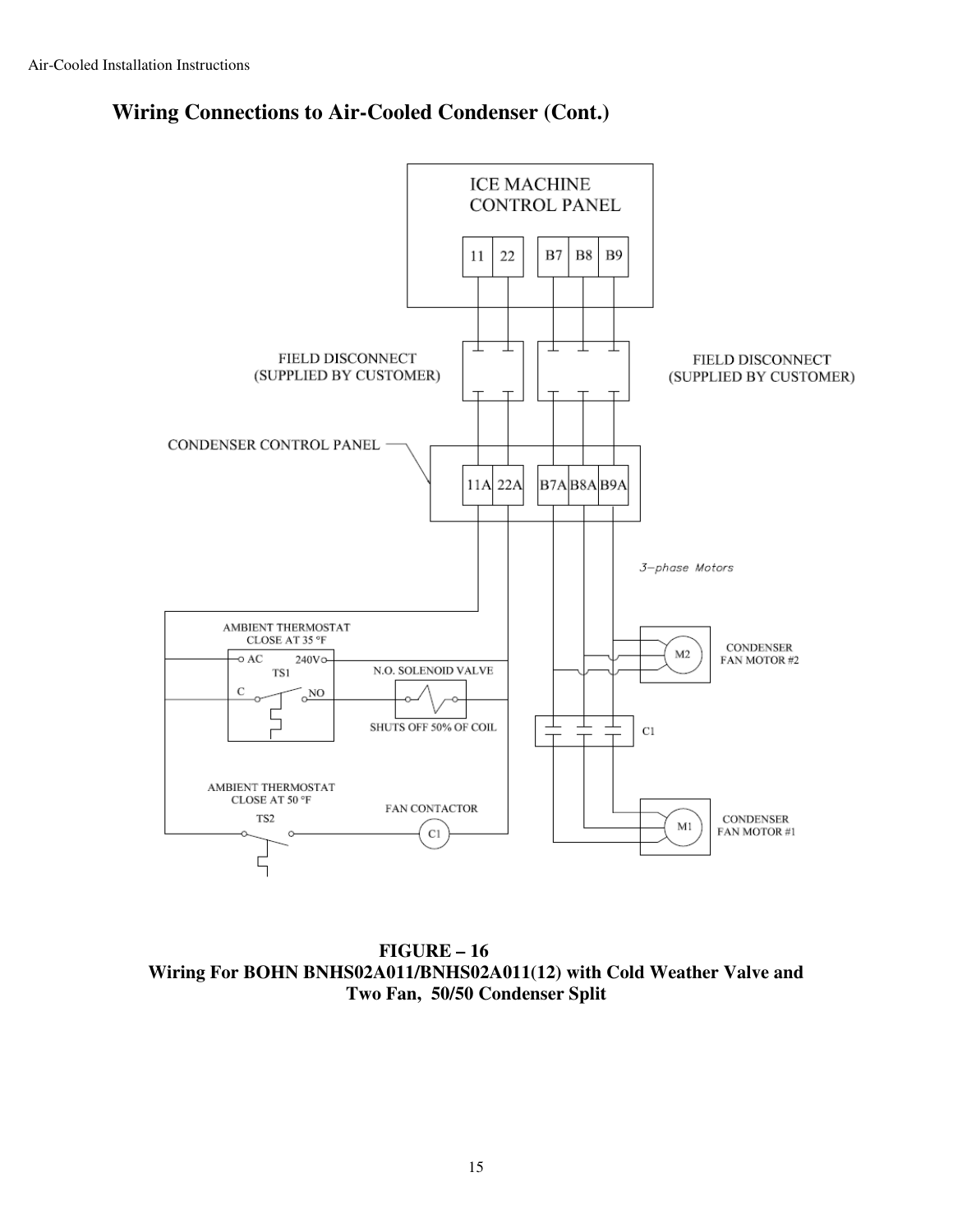![](_page_14_Figure_1.jpeg)

![](_page_14_Figure_2.jpeg)

**FIGURE – 16 Wiring For BOHN BNHS02A011/BNHS02A011(12) with Cold Weather Valve and Two Fan, 50/50 Condenser Split**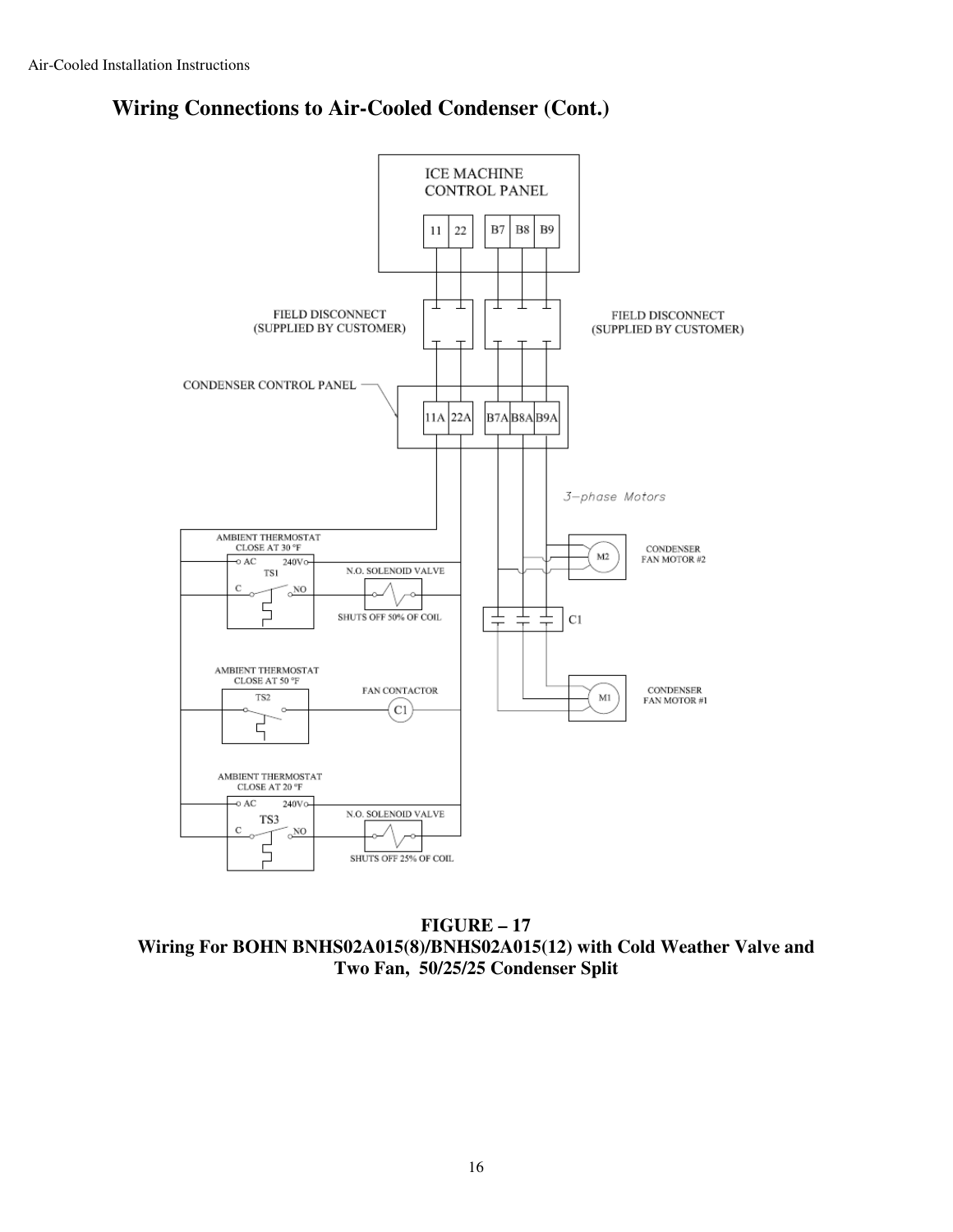![](_page_15_Figure_1.jpeg)

![](_page_15_Figure_2.jpeg)

**FIGURE – 17 Wiring For BOHN BNHS02A015(8)/BNHS02A015(12) with Cold Weather Valve and Two Fan, 50/25/25 Condenser Split**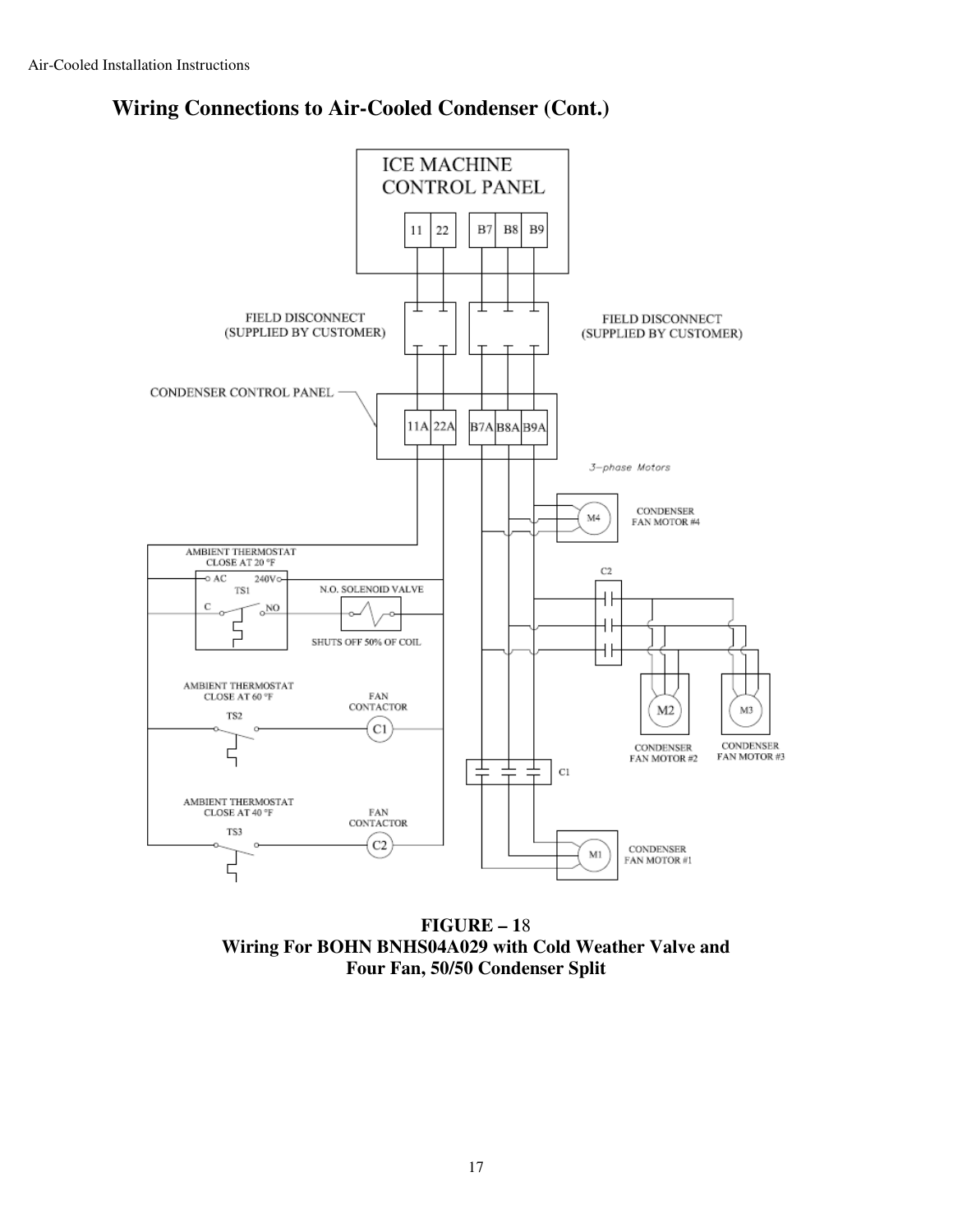![](_page_16_Figure_1.jpeg)

**Wiring Connections to Air-Cooled Condenser (Cont.)** 

**FIGURE – 1**8 **Wiring For BOHN BNHS04A029 with Cold Weather Valve and Four Fan, 50/50 Condenser Split**